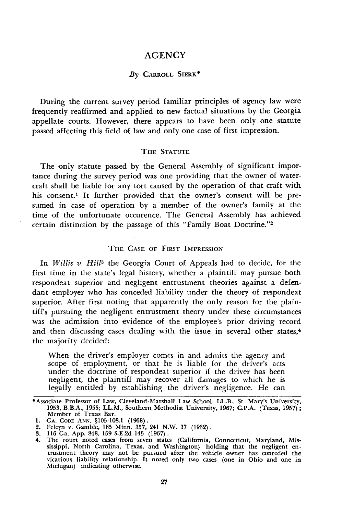## AGENCY

## *By* **CARROLL SIERK\***

During the current survey period familiar principles of agency law were frequently reaffirmed and applied to new factual situations by the Georgia appellate courts. However, there appears to have been only one statute passed affecting this field of law and only one case of first impression.

## **THE STATUTE**

The only statute passed by the General Assembly of significant importance during the survey period was one providing that the owner of watercraft shall be liable for any tort caused by the operation of that craft with his consent.<sup>1</sup> It further provided that the owner's consent will be presumed in case of operation by a member of the owner's family at the time of the unfortunate occurence. The General Assembly has achieved certain distinction by the passage of this "Family Boat Doctrine."<sup>2</sup>

#### THE CASE **OF** FIRST IMPRESSION

*In Willis v. Hill3* the Georgia Court of Appeals had to decide, for the first time in the state's legal history, whether a plaintiff may pursue both respondeat superior and negligent entrustment theories against a defendant employer who has conceded liability under the theory of respondeat superior. After first noting that apparently the only reason for the plaintiff's pursuing the negligent entrustment theory under these circumstances was the admission into evidence of the employee's prior driving record and then discussing cases dealing with the issue in several other states,<sup>4</sup> the majority decided:

When the driver's employer comes in and admits the agency and scope of employment, or that he is liable for the driver's acts under the doctrine of respondeat superior if the driver has been negligent, the plaintiff may recover all damages to which he is legally entitled by establishing the driver's negligence. He can

<sup>\*</sup>Associate Professor of Law, Cleveland-Marshall Law School. LL.B., St. Mary's University, 1953, B.B.A., 1955; LL.M., Southern Methodist University, 1967; C.P.A. (Texas, 1957); Member of Texas Bar. **1. GA. CODE ANN.** §105-108.1 **(1968).**

<sup>2.</sup> Felcyn v. Gamble, **185** Minn. **357,** 241 N.W. **37 (1932). 3. 116** Ga. **App. 848, 159 S.E.2d** 145 **(1967).**

<sup>4.</sup> The court noted cases from seven states (California, Connecticut, Maryland, Mississippi, North Carolina, Texas, and Washington) holding that the negligent entrustment theory may not be pursued after the vehicle owner ha Michigan) indicating otherwise.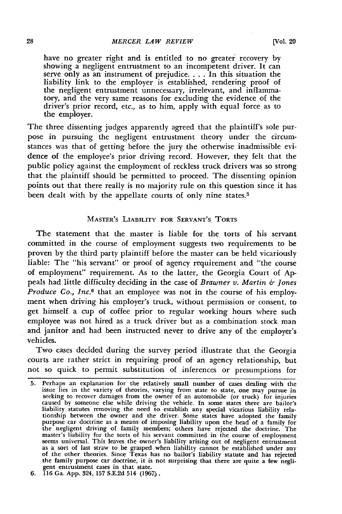have no greater right and is entitled to no greater recovery **by** showing a negligent entrustment to an incompetent driver. It can serve only as an instrument of prejudice **....** In this situation the liability link to the employer is established, rendering proof of the negligent entrustment unnecessary, irrelevant, and inflammatory, and the very same reasons **for** excluding the evidence of the driver's prior record, etc., as to him, apply with equal force as to the employer.

The three dissenting judges apparently agreed that the plaintiff's sole purpose in pursuing the negligent entrustment theory under the circumstances was that of getting before the jury the otherwise inadmissible evidence of the employee's prior driving record. However, they felt that the public policy against the employment of reckless truck drivers was so strong that the plaintiff should be permitted to proceed. The dissenting opinion points out that there really is no majority rule on this question since it has been dealt with by the appellate courts of only nine states.<sup>5</sup>

### MASTER'S LIABILITY FOR SERVANT'S TORTS

The statement that the master is liable for the torts of his servant committed in the course of employment suggests two requirements to be proven by the third party plaintiff before the master can be held vicariously liable: The "his servant" or proof of agency requirement and "the course of employment" requirement. As to the latter, the Georgia Court of **Ap**peals had little difficulty deciding in the case of *Brawner v. Martin & Jones Produce Co., Inc.6* that an employee was not in the course of his employment when driving his employer's truck, without permission or consent, to get himself a cup of coffee prior to regular working hours where such employee was not hired as a truck driver but as a combination stock man and janitor and had been instructed never to drive any of the employer's vehicles.

Two cases decided during the survey period illustrate that the Georgia courts are rather strict in requiring proof of an agency relationship, but not so quick to permit substitution of inferences or presumptions for

<sup>5.</sup> Perhaps an explanation for the relatively small number of cases dealing with the issue lies in the variety of theories, varying from state to state, one may pursue in<br>seeking to recover damages from the owner of an automobile (or truck) for injuries<br>caused by someone else while driving the vehicle. In liability statutes removing the need to establish any special vicarious liability relationship between the owner and the driver. Some states have adopted the family purpose car doctrine as a means of imposing liability upon the head of a family for the negligent driving of family members; others have rejected the doctrine. The master's liability for the torts of his servant committed in the course of employment seems universal. This leaves the owner's liability arisi the family purpose car doctrine, it is not surprising that there are quite a few negligent entrustment cases in that state.

**<sup>6. 116</sup>** Ga. **App.** 324, **157 S.E.2d** 514 **(1967,).**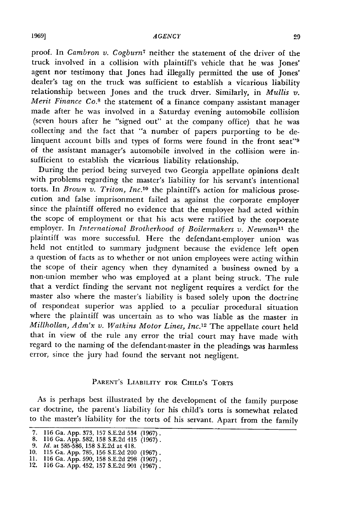proof. In *Cambron v. Cogburn7* neither the statement of the driver of the truck involved in a collision with plaintiff's vehicle that he was Jones' agent nor testimony that Jones had illegally permitted the use of Jones' dealer's tag on the truck was sufficient to establish a vicarious liability relationship between Jones and the truck drver. Similarly, in *Mullis v. Merit Finance Co.8* the statement of a finance company assistant manager made after he was involved in a Saturday evening automobile collision (seven hours after he "signed out" at the company office) that he was collecting and the fact that "a number of papers purporting to be delinquent account bills and types of forms were found in the front seat"<sup>9</sup> of the assistant manager's automobile involved in the collision were insufficient to establish the vicarious liability relationship.

During the period being surveyed two Georgia appellate opinions dealt with problems regarding the master's liability for his servant's intentional torts. In *Brown v. Triton, Inc.'0* the plaintiff's action for malicious prosecution and false imprisonment failed as against the corporate employer since the plaintiff offered no evidence that the employee had acted within the scope of employment or that his acts were ratified by the corporate employer. In *International Brotherhood of Boilermakers v. Newman*<sup>11</sup> the plaintiff was more successful. Here the defendant-employer union was held not entitled to summary judgment because the evidence left open a question of facts as to whether or not union employees were acting within the scope of their agency when they dynamited a business owned by a non-union member who was employed at a plant being struck. The rule that a verdict finding the servant not negligent requires a verdict for the master also where the master's liability is based solely upon the doctrine of respondeat superior was applied to a peculiar procedural situation where the plaintiff was uncertain as to who was liable as the master in *Millhollan, Adm'x v. Watkins Motor Lines, Inc.12* The appellate court held that in view of the rule any error the trial court may have made with regard to the naming of the defendant-master in the pleadings was harmless error, since the jury had found the servant not negligent.

## PARENT'S LIABILITY FOR CHILD'S TORTS

As is perhaps best illustrated by the development of the family purpose car doctrine, the parent's liability for his child's torts is somewhat related to the master's liability for the torts of his servant. Apart from the family

<sup>7. 116</sup> Ga. App. 373, 157 S.E.2d 534 (1967).

<sup>8. 116</sup> Ga. App. 582, 158 S.E.2d 415 (1967).

<sup>9.</sup> *Id.* at 585-586, 158 S.E.2d at 418.<br>10. 115 Ga. App. 785, 156 S.E.2d 200 (1967).

**<sup>11.</sup>** 116 **Ga. App.** 590, **158** S.E.2d **298** (1967). 12. 116 Ga. App. 452, 157 S.E.2d 901 (1967).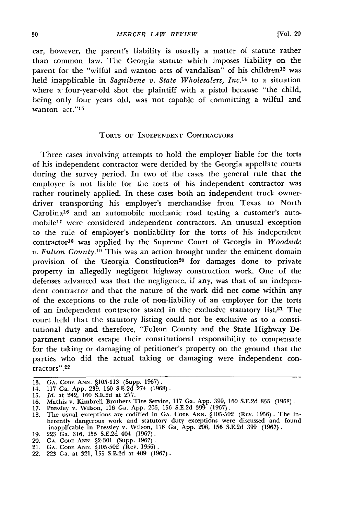*MERCER LAW REVIEW*

car, however, the parent's liability is usually a matter of statute rather than common law. The Georgia statute which imposes liability on the parent for the "wilful and wanton acts of vandalism" of his children<sup>13</sup> was held inapplicable in *Sagnibene v. State Wholesalers, Inc.14* to a situation where a four-year-old shot the plaintiff with a pistol because "the child, being only four years old, was not capable of committing a wilful and wanton act.''15

## TORTs OF **INDEPENDENT** CONTRACTORS

Three cases involving attempts to hold the employer liable for the torts of his independent contractor were decided by the Georgia appellate courts during the survey period. In two of the cases the general rule that the employer is not liable for the torts of his independent contractor was rather routinely applied. In these cases both an independent truck ownerdriver transporting his employer's merchandise from Texas to North Carolina<sup>16</sup> and an automobile mechanic road testing a customer's automobile<sup>17</sup> were considered independent contractors. An unusual exception to the rule of employer's nonliability for the torts of his independent contractor<sup>18</sup> was applied by the Supreme Court of Georgia in *Woodside v. Fulton County.'9* This was an action brought under the eminent domain provision of the 'Georgia Constitution<sup>20</sup> for damages done to private property in allegedly negligent highway construction work. One of the defenses advanced was that the negligence, if any, was that of an independent contractor and that the nature of the work did not come within any of the exceptions to the rule of non-liability of an employer for the torts of an independent contractor stated in the exclusive statutory list.21 The court held that the statutory listing could not be exclusive as to a constitutional duty and therefore, "Fulton County and the State Highway Department cannot escape their constitutional responsibility to compensate for the taking or damaging of petitioner's property on the ground that the parties who did the actual taking or damaging were independent contractors".22

- 
- 
- 
- 15.  $Id.$  at 242, 160 S.E.2d at 277.<br>
16. Mathis v. Kimbrell Brothers Tire Service, 117 Ga. App. 399, 160 S.E.2d 855 (1968).<br>
17. Pressley v. Wilson, 116 Ga. App. 206, 156 S.E.2d 399 (1967).<br>
18. The usual exceptions are c
- 19. 223 Ga. 316, 155 S.E.2d 404 (1967). 20. GA. **CODE ANN.** §2-301 (Supp. 1967).
- 
- 21. GA. **CODE ANN.** §105-502 (Rev. 1956). 22. 223 Ga. at 321, 155 S.E.2d at 409 (1967).

<sup>13.</sup> GA. **CODE ANN.** §105-113 (Supp. 1967). 14. 117 Ga. App. 239, 160 S.E.2d 274 (1968).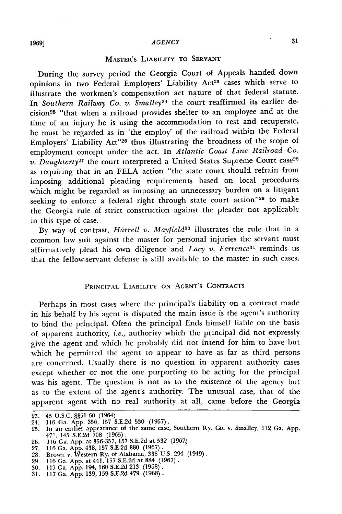#### *1969] A GENC Y*

### MASTER'S LIABILITY TO SERVANT

During the survey period the Georgia Court of Appeals handed down opinions in two Federal Employers' Liability Act<sup>23</sup> cases which serve to illustrate the workmen's compensation act nature of that federal statute. In *Southern Railway Co. v. Smalley*<sup>24</sup> the court reaffirmed its earlier decision 25 "that when a railroad provides shelter to an employee and at the time of an injury he is using the accommodation to rest and recuperate, he must be regarded as in 'the employ' of the railroad within the Federal Employers' Liability Act"<sup>26</sup> thus illustrating the broadness of the scope of employment concept under the act. In *Atlantic Coast Line Railroad Co. v. Daughterty*<sup>27</sup> the court interpreted a United States Supreme Court case<sup>28</sup> as requiring that in an FELA action "the state court should refrain from imposing additional pleading requirements based on local procedures which might be regarded as imposing an unnecessary burden on a litigant seeking to enforce a federal right through state court action"<sup>29</sup> to make the Georgia rule of strict construction against the pleader not applicable in this type of case.

**By** way of contrast, *Harrell v. Mayfield3°* illustrates the rule that in a common law suit against the master for personal injuries the servant must affirmatively plead his own diligence and *Lacy v. Ferrence31* reminds us that the fellow-servant defense is still available to the master in such cases.

## PRINCIPAL LIABILITY ON AGENT'S CONTRACTS

Perhaps in most cases where the principal's liability on a contract made in his behalf by his agent is disputed the main issue is the agent's authority to bind the principal. Often the principal finds himself liable on the basis of apparent authority, *i.e.,* authority which the principal did not expressly give the agent and which he probably did not intend for him to have but which he permitted the agent to appear to have as far as third persons are concerned. Usually there is no question in apparent authority cases except whether or not the one purporting to be acting for the principal was his agent. The question is not as to the existence of the agency but as to the extent of the agent's authority. The unusual case, that of the apparent agent with no real authority at all, came before the Georgia

**<sup>23.</sup>** 45 U.S.C. §§51-60 (1964). 24. 116 Ga. App. 356, 157 S.E.2d 530 (1967).

<sup>25.</sup> In an earlier appearance of the same case, Southern Ry. Go. v. Smalley, 112 Ga. App. 47', 145 S.E.2d 708 (1965). 26. 116 Ga. App. at 356-357, 157 S.E.2d at 532 (1967.).

<sup>27. 116</sup> Ga. App. 438, 157 S.E.2d 880 (1967). 28. Brown v. Western Ry. of Alabama, **338** U.S. 294 (1949). 29. 116 Ga. App. at 441, 157 S.E.2d at 884 (1967). **30.** 117 Ga. App. 194, 160 S.E.2d **213** (1968).

**<sup>31.</sup>** 117 Ga. App. 139, 159 S.E.2d 479 (1968).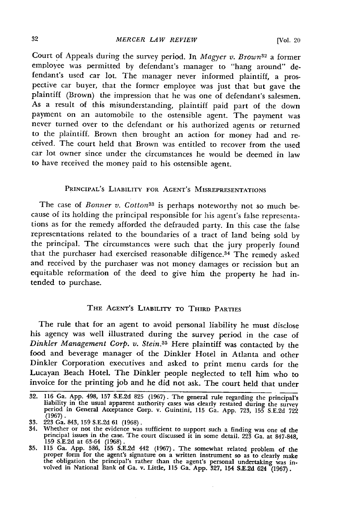Court of Appeals during the survey period. In *Magyer v. Brown*<sup>32</sup> a former employee was permitted by defendant's manager to "hang around" defendant's used car lot. The manager never informed plaintiff, a prospective car buyer, that the former employee was just that but gave the plaintiff (Brown) the impression that he was one of defendant's salesmen. As a result of this misunderstanding, plaintiff paid part of the down payment on an automobile to the ostensible agent. The payment was never turned over to the defendant or his authorized agents or returned to the plaintiff. Brown then brought an action for money had and received. The court held that Brown was entitled to recover from the used car lot owner since under the circumstances he would be deemed in law to have received the money paid to his ostensible agent.

## PRINCIPAL'S LIABILITY FOR AGENT'S MISREPRESENTATIONS

The case of *Bonner v. Cotton33* is perhaps noteworthy not so much because of its holding the principal responsible for his agent's false representations as for the remedy afforded the defrauded party. In this case the false representations related to the boundaries of a tract of land being sold by the principal. The circumstances were such that the jury properly found that the purchaser had exercised reasonable diligence.<sup>34</sup> The remedy asked and received by the purchaser was not money damages or recission but an equitable reformation of the deed to give him the property he had intended to purchase.

# THE AGENT'S LIABILITY TO THIRD PARTIES

The rule that for an agent to avoid personal liability he must disclose his agency was well illustrated during the survey period in the case of *Dinkler Management Corp. v. Stein.35* Here plaintiff was contacted by the food and beverage manager of the Dinkler Hotel in Atlanta and other Dinkler Corporation executives and asked to print menu cards for the Lucayan Beach Hotel. The Dinkler people neglected to tell him who to invoice for the printing job and he did not ask. The court held that under

<sup>32. 116</sup> Ga. App. 498, 157 S.E.2d 825 (1967). The general rule regarding the principal's liability in the usual apparent authority cases was clearly restated during the survey period in General Acceptance Corp. v. Guintini, (1967).

**<sup>33. 223</sup>** Ga. 843, 159 S.E.2d 61 (1968). 34. Whether or not the evidence was sufficient to support such a finding was one of the principal issues in the case. The court discussed it in some detail. 223 Ga. at 847-848, **159** S.E.2d at 63-64 (1968).

**<sup>35. 115</sup>** Ga. App. 586, **155** S.E.2d 442 (1967). The somewhat related problem of the proper form for the agent's signature on a written instrument so as to clearly make the obligation the principal's rather than the agent's personal undertaking was in-volved in National Bank of Ga. v. Little, **115** Ga. App. 327, 154 S.E.2d 624 (1967).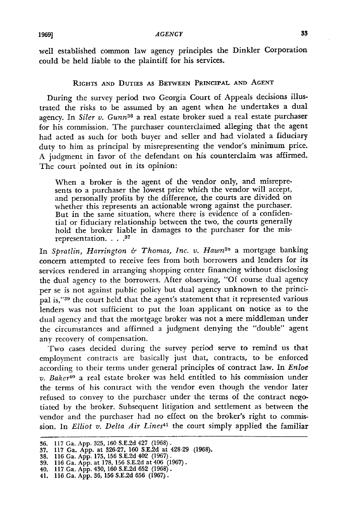well established common law agency principles the Dinkler Corporation could be held liable to the plaintiff for his services.

## RIGHTS **AND** DUTIES AS **BETWEEN** PRINCIPAL **AND AGENT**

During the survey period two Georgia Court of Appeals decisions illustrated the risks to be assumed by an agent when he undertakes a dual agency. In Siler *v. Gunn<sup>36</sup>*a real estate broker sued a real estate purchaser for his commission. The purchaser counterclaimed alleging that the agent had acted as such for both buyer and seller and had violated a fiduciary duty to him as principal by misrepresenting the vendor's minimum price. A judgment in favor of the defendant on his counterclaim was affirmed. The court pointed out in its opinion:

When a broker is the agent of the vendor only, and misrepresents to a purchaser the lowest price which the vendor will accept, and personally profits by the difference, the courts are divided on whether this represents an actionable wrong against the purchaser. But in the same situation, where there is evidence of a confidential or fiduciary relationship between the two, the courts generally hold the broker liable in damages to the purchaser for the misrepresentation. **.... 37**

In *Spratlin, Harrington & Thomas, Inc. v. Hawn<sup>3</sup>*a mortgage banking concern attempted to receive fees from both borrowers and lenders for its services rendered in arranging shopping center financing without disclosing the dual agency to the borrowers. After observing, "Of course dual agency per se is not against public policy but dual agency unknown to the principal is,"39 the court held that the agent's statement that it represented various lenders was not sufficient to put the loan applicant on notice as to the dual agency and that the mortgage broker was not a mere middleman under the circumstances and affirmed a judgment denying the "double" agent any recovery of compensation.

Two cases decided during the survey period serve to remind us that employment contracts are basically just that, contracts, to be enforced according to their terms under general principles of contract law. In *Enloe v. Baker<sup>40</sup>* a real estate broker was held entitled to his commission under the terms of his contract with the vendor even though the vendor later refused to convey to the purchaser under the terms of the contract negotiated by the broker. Subsequent litigation and settlement as between the vendor and the purchaser had no effect on the broker's right to commission. In *Elliot v. Delta Air Lines41* the court simply applied the familiar

<sup>36. 117</sup> Ga. App. 325, 160 S.E.2d 427 (1968).<br>37. 117 Ga. App. at 326-27, 160 S.E.2d at 428-29 (1968)<br>38. 116 Ga. App. 175, 156 S.E.2d 402 (1967).<br>39. 116 Ga. App. at 178, 156 S.E.2d at 406 (1967).

<sup>40.</sup> **117** Ga. **App.** 430, **160 S.E.2d 652 (1968).**

<sup>41.</sup> **116** Ga. **App. 36, 156 S.E.2d 656 (1967,).**